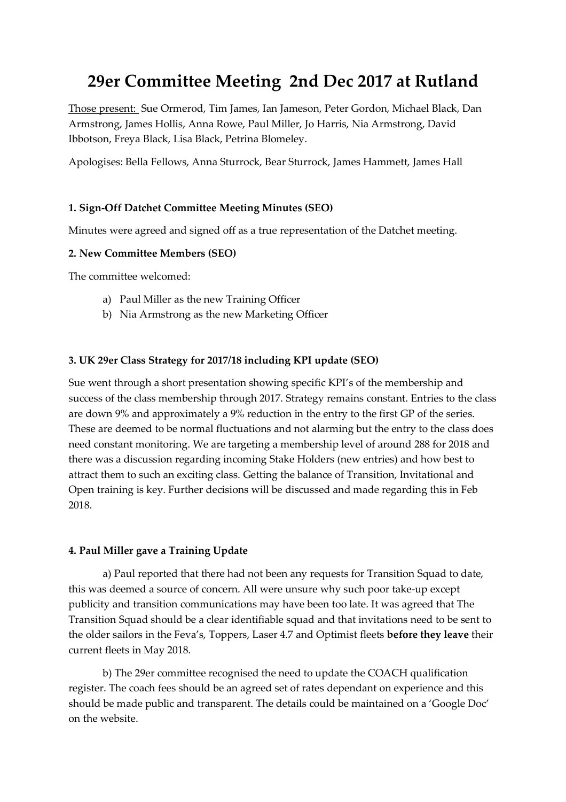# **29er Committee Meeting 2nd Dec 2017 at Rutland**

Those present: Sue Ormerod, Tim James, Ian Jameson, Peter Gordon, Michael Black, Dan Armstrong, James Hollis, Anna Rowe, Paul Miller, Jo Harris, Nia Armstrong, David Ibbotson, Freya Black, Lisa Black, Petrina Blomeley.

Apologises: Bella Fellows, Anna Sturrock, Bear Sturrock, James Hammett, James Hall

## **1. Sign-Off Datchet Committee Meeting Minutes (SEO)**

Minutes were agreed and signed off as a true representation of the Datchet meeting.

#### **2. New Committee Members (SEO)**

The committee welcomed:

- a) Paul Miller as the new Training Officer
- b) Nia Armstrong as the new Marketing Officer

#### **3. UK 29er Class Strategy for 2017/18 including KPI update (SEO)**

Sue went through a short presentation showing specific KPI's of the membership and success of the class membership through 2017. Strategy remains constant. Entries to the class are down 9% and approximately a 9% reduction in the entry to the first GP of the series. These are deemed to be normal fluctuations and not alarming but the entry to the class does need constant monitoring. We are targeting a membership level of around 288 for 2018 and there was a discussion regarding incoming Stake Holders (new entries) and how best to attract them to such an exciting class. Getting the balance of Transition, Invitational and Open training is key. Further decisions will be discussed and made regarding this in Feb 2018.

#### **4. Paul Miller gave a Training Update**

a) Paul reported that there had not been any requests for Transition Squad to date, this was deemed a source of concern. All were unsure why such poor take-up except publicity and transition communications may have been too late. It was agreed that The Transition Squad should be a clear identifiable squad and that invitations need to be sent to the older sailors in the Feva's, Toppers, Laser 4.7 and Optimist fleets **before they leave** their current fleets in May 2018.

b) The 29er committee recognised the need to update the COACH qualification register. The coach fees should be an agreed set of rates dependant on experience and this should be made public and transparent. The details could be maintained on a 'Google Doc' on the website.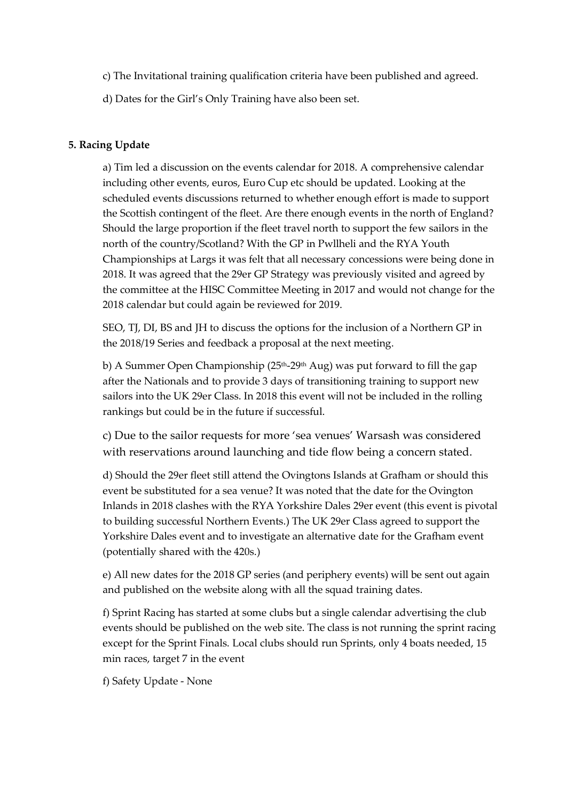c) The Invitational training qualification criteria have been published and agreed.

d) Dates for the Girl's Only Training have also been set.

### **5. Racing Update**

a) Tim led a discussion on the events calendar for 2018. A comprehensive calendar including other events, euros, Euro Cup etc should be updated. Looking at the scheduled events discussions returned to whether enough effort is made to support the Scottish contingent of the fleet. Are there enough events in the north of England? Should the large proportion if the fleet travel north to support the few sailors in the north of the country/Scotland? With the GP in Pwllheli and the RYA Youth Championships at Largs it was felt that all necessary concessions were being done in 2018. It was agreed that the 29er GP Strategy was previously visited and agreed by the committee at the HISC Committee Meeting in 2017 and would not change for the 2018 calendar but could again be reviewed for 2019.

SEO, TJ, DI, BS and JH to discuss the options for the inclusion of a Northern GP in the 2018/19 Series and feedback a proposal at the next meeting.

b) A Summer Open Championship ( $25<sup>th</sup>$ -29<sup>th</sup> Aug) was put forward to fill the gap after the Nationals and to provide 3 days of transitioning training to support new sailors into the UK 29er Class. In 2018 this event will not be included in the rolling rankings but could be in the future if successful.

c) Due to the sailor requests for more 'sea venues' Warsash was considered with reservations around launching and tide flow being a concern stated.

d) Should the 29er fleet still attend the Ovingtons Islands at Grafham or should this event be substituted for a sea venue? It was noted that the date for the Ovington Inlands in 2018 clashes with the RYA Yorkshire Dales 29er event (this event is pivotal to building successful Northern Events.) The UK 29er Class agreed to support the Yorkshire Dales event and to investigate an alternative date for the Grafham event (potentially shared with the 420s.)

e) All new dates for the 2018 GP series (and periphery events) will be sent out again and published on the website along with all the squad training dates.

f) Sprint Racing has started at some clubs but a single calendar advertising the club events should be published on the web site. The class is not running the sprint racing except for the Sprint Finals. Local clubs should run Sprints, only 4 boats needed, 15 min races, target 7 in the event

f) Safety Update - None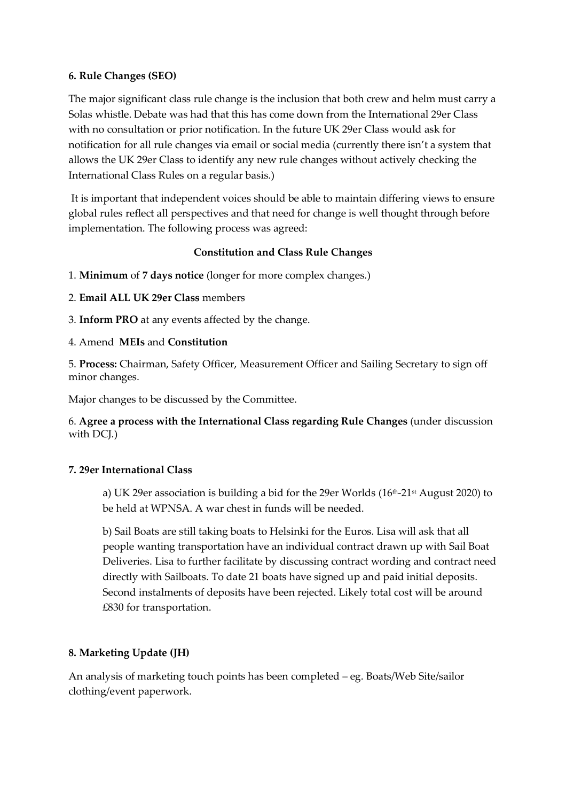#### **6. Rule Changes (SEO)**

The major significant class rule change is the inclusion that both crew and helm must carry a Solas whistle. Debate was had that this has come down from the International 29er Class with no consultation or prior notification. In the future UK 29er Class would ask for notification for all rule changes via email or social media (currently there isn't a system that allows the UK 29er Class to identify any new rule changes without actively checking the International Class Rules on a regular basis.)

It is important that independent voices should be able to maintain differing views to ensure global rules reflect all perspectives and that need for change is well thought through before implementation. The following process was agreed:

## **Constitution and Class Rule Changes**

- 1. **Minimum** of **7 days notice** (longer for more complex changes.)
- 2. **Email ALL UK 29er Class** members
- 3. **Inform PRO** at any events affected by the change.
- 4. Amend **MEIs** and **Constitution**

5. **Process:** Chairman, Safety Officer, Measurement Officer and Sailing Secretary to sign off minor changes.

Major changes to be discussed by the Committee.

6. **Agree a process with the International Class regarding Rule Changes** (under discussion with DCI.)

## **7. 29er International Class**

a) UK 29er association is building a bid for the 29er Worlds ( $16<sup>th</sup>$ -21<sup>st</sup> August 2020) to be held at WPNSA. A war chest in funds will be needed.

b) Sail Boats are still taking boats to Helsinki for the Euros. Lisa will ask that all people wanting transportation have an individual contract drawn up with Sail Boat Deliveries. Lisa to further facilitate by discussing contract wording and contract need directly with Sailboats. To date 21 boats have signed up and paid initial deposits. Second instalments of deposits have been rejected. Likely total cost will be around £830 for transportation.

## **8. Marketing Update (JH)**

An analysis of marketing touch points has been completed – eg. Boats/Web Site/sailor clothing/event paperwork.